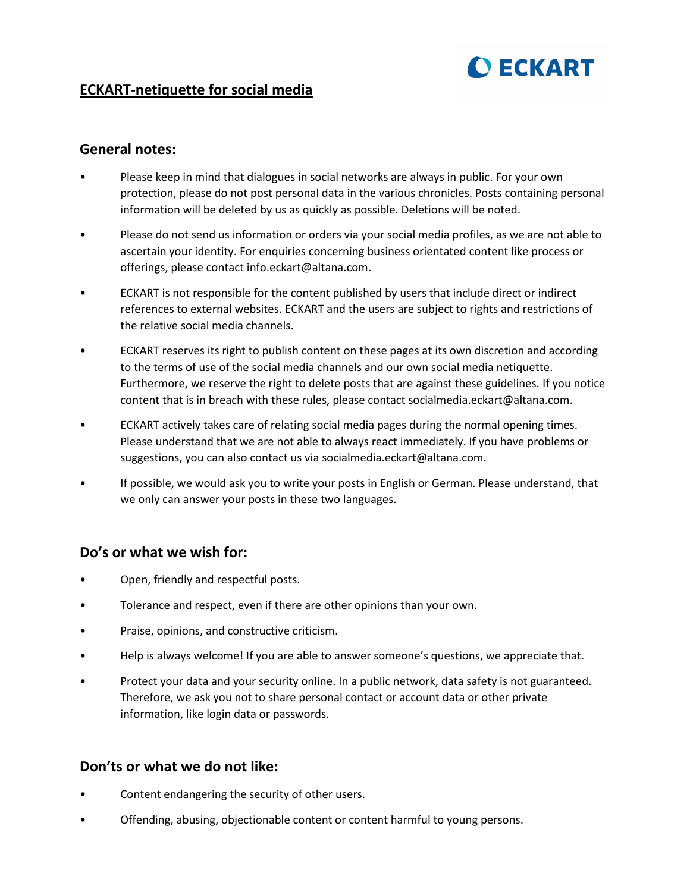

# **ECKART-netiquette for social media**

#### **General notes:**

- Please keep in mind that dialogues in social networks are always in public. For your own protection, please do not post personal data in the various chronicles. Posts containing personal information will be deleted by us as quickly as possible. Deletions will be noted.
- Please do not send us information or orders via your social media profiles, as we are not able to ascertain your identity. For enquiries concerning business orientated content like process or offerings, please contact info.eckart@altana.com.
- ECKART is not responsible for the content published by users that include direct or indirect references to external websites. ECKART and the users are subject to rights and restrictions of the relative social media channels.
- ECKART reserves its right to publish content on these pages at its own discretion and according to the terms of use of the social media channels and our own social media netiquette. Furthermore, we reserve the right to delete posts that are against these guidelines. If you notice content that is in breach with these rules, please contact socialmedia.eckart@altana.com.
- ECKART actively takes care of relating social media pages during the normal opening times. Please understand that we are not able to always react immediately. If you have problems or suggestions, you can also contact us via socialmedia.eckart@altana.com.
- If possible, we would ask you to write your posts in English or German. Please understand, that we only can answer your posts in these two languages.

# **Do's or what we wish for:**

- Open, friendly and respectful posts.
- Tolerance and respect, even if there are other opinions than your own.
- Praise, opinions, and constructive criticism.
- Help is always welcome! If you are able to answer someone's questions, we appreciate that.
- Protect your data and your security online. In a public network, data safety is not guaranteed. Therefore, we ask you not to share personal contact or account data or other private information, like login data or passwords.

### **Don'ts or what we do not like:**

- Content endangering the security of other users.
- Offending, abusing, objectionable content or content harmful to young persons.